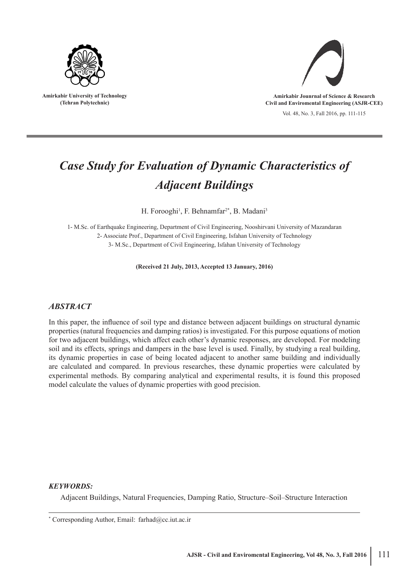

**Amirkabir University of Technology (Tehran Polytechnic)**



**Amirkabir Jounrnal of Science & Research Civil and Enviromental Engineering (ASJR-CEE)**

Vol. 48, No. 3, Fall 2016, pp. 111-115

# *Case Study for Evaluation of Dynamic Characteristics of Adjacent Buildings*

H. Forooghi<sup>1</sup>, F. Behnamfar<sup>2\*</sup>, B. Madani<sup>3</sup>

1- M.Sc. of Earthquake Engineering, Department of Civil Engineering, Nooshirvani University of Mazandaran 2- Associate Prof., Department of Civil Engineering, Isfahan University of Technology 3- M.Sc., Department of Civil Engineering, Isfahan University of Technology

**(Received 21 July, 2013, Accepted 13 January, 2016)**

# *ABSTRACT*

In this paper, the influence of soil type and distance between adjacent buildings on structural dynamic properties (natural frequencies and damping ratios) is investigated. For this purpose equations of motion for two adjacent buildings, which affect each other's dynamic responses, are developed. For modeling soil and its effects, springs and dampers in the base level is used. Finally, by studying a real building, its dynamic properties in case of being located adjacent to another same building and individually are calculated and compared. In previous researches, these dynamic properties were calculated by experimental methods. By comparing analytical and experimental results, it is found this proposed model calculate the values of dynamic properties with good precision.

## *KEYWORDS:*

Adjacent Buildings, Natural Frequencies, Damping Ratio, Structure–Soil–Structure Interaction

<sup>\*</sup> Corresponding Author, Email: farhad@cc.iut.ac.ir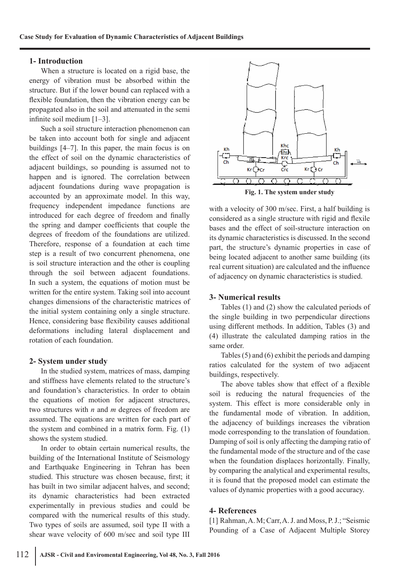#### **1- Introduction**

When a structure is located on a rigid base, the energy of vibration must be absorbed within the structure. But if the lower bound can replaced with a flexible foundation, then the vibration energy can be propagated also in the soil and attenuated in the semi infinite soil medium [1–3].

Such a soil structure interaction phenomenon can be taken into account both for single and adjacent buildings [4–7]. In this paper, the main focus is on the effect of soil on the dynamic characteristics of adjacent buildings, so pounding is assumed not to happen and is ignored. The correlation between adjacent foundations during wave propagation is accounted by an approximate model. In this way, frequency independent impedance functions are introduced for each degree of freedom and finally the spring and damper coefficients that couple the degrees of freedom of the foundations are utilized. Therefore, response of a foundation at each time step is a result of two concurrent phenomena, one is soil structure interaction and the other is coupling through the soil between adjacent foundations. In such a system, the equations of motion must be written for the entire system. Taking soil into account changes dimensions of the characteristic matrices of the initial system containing only a single structure. Hence, considering base flexibility causes additional deformations including lateral displacement and rotation of each foundation.

#### **2- System under study**

In the studied system, matrices of mass, damping and stiffness have elements related to the structure's and foundation's characteristics. In order to obtain the equations of motion for adjacent structures, two structures with *n* and *m* degrees of freedom are assumed. The equations are written for each part of the system and combined in a matrix form. Fig. (1) shows the system studied.

In order to obtain certain numerical results, the building of the International Institute of Seismology and Earthquake Engineering in Tehran has been studied. This structure was chosen because, first; it has built in two similar adjacent halves, and second; its dynamic characteristics had been extracted experimentally in previous studies and could be compared with the numerical results of this study. Two types of soils are assumed, soil type II with a shear wave velocity of 600 m/sec and soil type III



**Fig. 1. The system under study**

with a velocity of 300 m/sec. First, a half building is considered as a single structure with rigid and flexile bases and the effect of soil-structure interaction on its dynamic characteristics is discussed. In the second part, the structure's dynamic properties in case of being located adjacent to another same building (its real current situation) are calculated and the influence of adjacency on dynamic characteristics is studied.

#### **3- Numerical results**

Tables (1) and (2) show the calculated periods of the single building in two perpendicular directions using different methods. In addition, Tables (3) and (4) illustrate the calculated damping ratios in the same order.

Tables (5) and (6) exhibit the periods and damping ratios calculated for the system of two adjacent buildings, respectively.

The above tables show that effect of a flexible soil is reducing the natural frequencies of the system. This effect is more considerable only in the fundamental mode of vibration. In addition, the adjacency of buildings increases the vibration mode corresponding to the translation of foundation. Damping of soil is only affecting the damping ratio of the fundamental mode of the structure and of the case when the foundation displaces horizontally. Finally, by comparing the analytical and experimental results, it is found that the proposed model can estimate the values of dynamic properties with a good accuracy.

## **4- References**

[1] Rahman, A. M; Carr, A. J. and Moss, P. J.; "Seismic Pounding of a Case of Adjacent Multiple Storey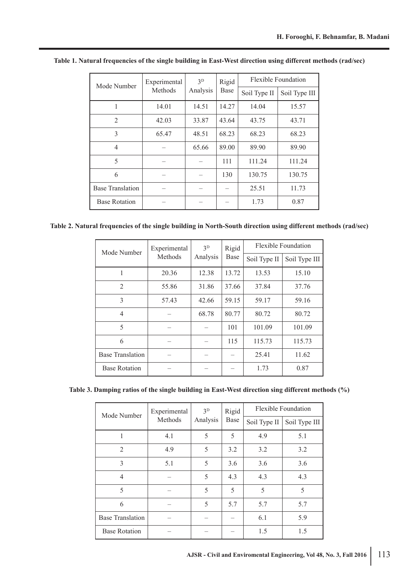| Mode Number             | Experimental<br>Methods | 3 <sup>D</sup><br>Analysis | Rigid<br><b>Base</b> | Flexible Foundation |               |  |
|-------------------------|-------------------------|----------------------------|----------------------|---------------------|---------------|--|
|                         |                         |                            |                      | Soil Type II        | Soil Type III |  |
|                         | 14.01                   | 14.51                      | 14.27                | 14.04               | 15.57         |  |
| $\overline{2}$          | 42.03                   | 33.87                      | 43.64                | 43.75               | 43.71         |  |
| 3                       | 65.47                   | 48.51                      | 68.23                | 68.23               | 68.23         |  |
| $\overline{4}$          |                         | 65.66                      | 89.00                | 89.90               | 89.90         |  |
| 5                       |                         |                            | 111                  | 111.24              | 111.24        |  |
| 6                       |                         |                            | 130                  | 130.75              | 130.75        |  |
| <b>Base Translation</b> |                         |                            |                      | 25.51               | 11.73         |  |
| <b>Base Rotation</b>    |                         |                            |                      | 1.73                | 0.87          |  |

**Table 1. Natural frequencies of the single building in East-West direction using different methods (rad/sec)**

**Table 2. Natural frequencies of the single building in North-South direction using different methods (rad/sec)**

| Mode Number          | Experimental<br><b>Methods</b> | 3 <sub>D</sub><br>Analysis | Rigid<br>Base | <b>Flexible Foundation</b> |               |  |
|----------------------|--------------------------------|----------------------------|---------------|----------------------------|---------------|--|
|                      |                                |                            |               | Soil Type II               | Soil Type III |  |
| 1                    | 20.36                          | 12.38                      | 13.72         | 13.53                      | 15.10         |  |
| $\overline{2}$       | 55.86                          | 31.86                      | 37.66         | 37.84                      | 37.76         |  |
| 3                    | 57.43                          | 42.66                      | 59.15         | 59.17                      | 59.16         |  |
| 4                    |                                | 68.78                      | 80.77         | 80.72                      | 80.72         |  |
| 5                    |                                |                            | 101           | 101.09                     | 101.09        |  |
| 6                    |                                |                            | 115           | 115.73                     | 115.73        |  |
| Base Translation     |                                |                            |               | 25.41                      | 11.62         |  |
| <b>Base Rotation</b> |                                |                            |               | 1.73                       | 0.87          |  |

**Table 3. Damping ratios of the single building in East-West direction sing different methods (%)**

| Mode Number             | Experimental<br>Methods | 3 <sup>D</sup><br>Analysis | Rigid<br>Base | <b>Flexible Foundation</b> |               |  |
|-------------------------|-------------------------|----------------------------|---------------|----------------------------|---------------|--|
|                         |                         |                            |               | Soil Type II               | Soil Type III |  |
| 1                       | 4.1                     | 5                          | 5             | 4.9                        | 5.1           |  |
| $\overline{2}$          | 4.9                     | 5                          | 3.2           | 3.2                        | 3.2           |  |
| 3                       | 5.1                     | 5                          | 3.6           | 3.6                        | 3.6           |  |
| 4                       |                         | 5                          | 4.3           | 4.3                        | 4.3           |  |
| 5                       |                         | 5                          | 5             | 5                          | 5             |  |
| 6                       |                         | 5                          | 5.7           | 5.7                        | 5.7           |  |
| <b>Base Translation</b> |                         |                            |               | 6.1                        | 5.9           |  |
| <b>Base Rotation</b>    |                         |                            |               | 1.5                        | 1.5           |  |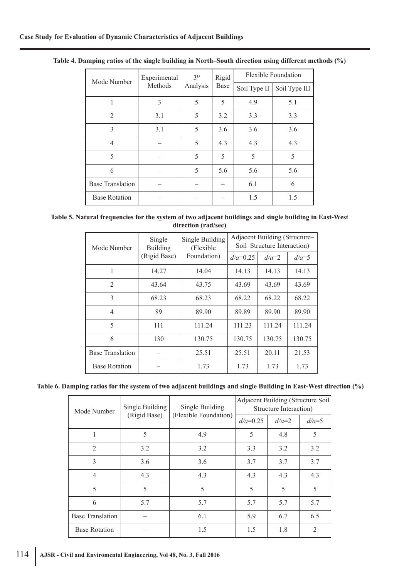| Mode Number             | Experimental<br>Methods | 3 <sup>D</sup><br>Analysis | Rigid<br>Base | <b>Flexible Foundation</b> |               |  |
|-------------------------|-------------------------|----------------------------|---------------|----------------------------|---------------|--|
|                         |                         |                            |               | Soil Type II               | Soil Type III |  |
| 1                       | 3                       | 5                          | 5             | 4.9                        | 5.1           |  |
| $\overline{2}$          | 3.1                     | 5                          | 3.2           | 3.3                        | 3.3           |  |
| 3                       | 3.1                     | 5                          | 3.6           | 3.6                        | 3.6           |  |
| 4                       |                         | 5                          | 4.3           | 4.3                        | 4.3           |  |
| 5                       |                         | 5                          | 5             | 5                          | 5             |  |
| 6                       |                         | 5                          | 5.6           | 5.6                        | 5.6           |  |
| <b>Base Translation</b> |                         |                            |               | 6.1                        | 6             |  |
| <b>Base Rotation</b>    |                         |                            |               | 1.5                        | 1.5           |  |

**Table 4. Damping ratios of the single building in North–South direction using different methods (%)**

| Table 5. Natural frequencies for the system of two adjacent buildings and single building in East-West |
|--------------------------------------------------------------------------------------------------------|
| direction (rad/sec)                                                                                    |

| Mode Number             | Single<br><b>Building</b> | Single Building<br>(Flexible)<br>Foundation) | Adjacent Building (Structure-<br>Soil-Structure Interaction) |         |         |  |
|-------------------------|---------------------------|----------------------------------------------|--------------------------------------------------------------|---------|---------|--|
|                         | (Rigid Base)              |                                              | $d/a = 0.25$                                                 | $d/a=2$ | $d/a=5$ |  |
| 1                       | 14.27                     | 14.04                                        | 14.13                                                        | 14.13   | 14.13   |  |
| $\overline{2}$          | 43.64                     | 43.75                                        | 43.69                                                        | 43.69   | 43.69   |  |
| 3                       | 68.23                     | 68.23                                        | 68.22                                                        | 68.22   | 68.22   |  |
| $\overline{4}$          | 89                        | 89.90                                        | 89.89                                                        | 89.90   | 89.90   |  |
| 5                       | 111                       | 111.24                                       | 111.23                                                       | 111.24  | 111.24  |  |
| 6                       | 130                       | 130.75                                       | 130.75                                                       | 130.75  | 130.75  |  |
| <b>Base Translation</b> |                           | 25.51                                        | 25.51                                                        | 20.11   | 21.53   |  |
| <b>Base Rotation</b>    |                           | 1.73                                         | 1.73                                                         | 1.73    | 1.73    |  |

**Table 6. Damping ratios for the system of two adjacent buildings and single Building in East-West direction (%)**

| Mode Number             | Single Building<br>(Rigid Base) | Single Building       | <b>Adjacent Building (Structure Soil</b><br>Structure Interaction) |         |                |
|-------------------------|---------------------------------|-----------------------|--------------------------------------------------------------------|---------|----------------|
|                         |                                 | (Flexible Foundation) | $d/a = 0.25$                                                       | $d/a=2$ | $d/a=5$        |
|                         | 5                               | 4.9                   | 5                                                                  | 4.8     | 5              |
| $\overline{2}$          | 3.2                             | 3.2                   | 3.3                                                                | 3.2     | 3.2            |
| 3                       | 3.6                             | 3.6                   | 3.7                                                                | 3.7     | 3.7            |
| $\overline{4}$          | 4.3                             | 4.3                   | 4.3                                                                | 4.3     | 4.3            |
| 5                       | 5                               | 5                     | 5                                                                  | 5       | 5              |
| 6                       | 5.7                             | 5.7                   | 5.7                                                                | 5.7     | 5.7            |
| <b>Base Translation</b> |                                 | 6.1                   | 5.9                                                                | 6.7     | 6.5            |
| <b>Base Rotation</b>    |                                 | 1.5                   | 1.5                                                                | 1.8     | $\overline{2}$ |